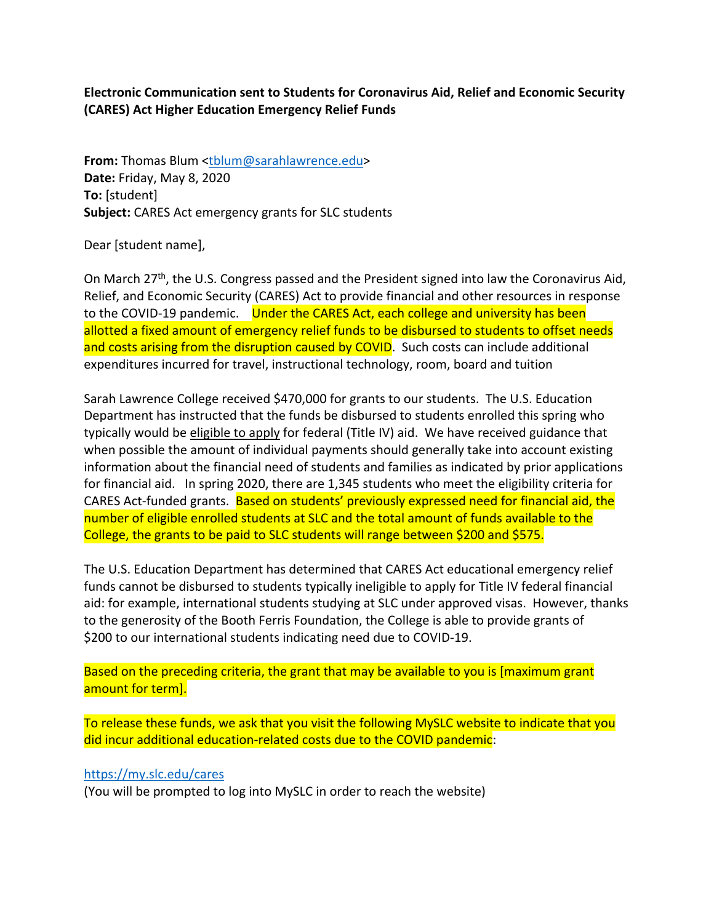**Electronic Communication sent to Students for Coronavirus Aid, Relief and Economic Security (CARES) Act Higher Education Emergency Relief Funds** 

**From:** Thomas Blum <tblum@sarahlawrence.edu> **Date:** Friday, May 8, 2020 **To:** [student] **Subject:** CARES Act emergency grants for SLC students

Dear [student name],

On March 27<sup>th</sup>, the U.S. Congress passed and the President signed into law the Coronavirus Aid, Relief, and Economic Security (CARES) Act to provide financial and other resources in response to the COVID-19 pandemic. Under the CARES Act, each college and university has been allotted a fixed amount of emergency relief funds to be disbursed to students to offset needs and costs arising from the disruption caused by COVID. Such costs can include additional expenditures incurred for travel, instructional technology, room, board and tuition

Sarah Lawrence College received \$470,000 for grants to our students. The U.S. Education Department has instructed that the funds be disbursed to students enrolled this spring who typically would be eligible to apply for federal (Title IV) aid. We have received guidance that when possible the amount of individual payments should generally take into account existing information about the financial need of students and families as indicated by prior applications for financial aid. In spring 2020, there are 1,345 students who meet the eligibility criteria for CARES Act‐funded grants. Based on students' previously expressed need for financial aid, the number of eligible enrolled students at SLC and the total amount of funds available to the College, the grants to be paid to SLC students will range between \$200 and \$575.

The U.S. Education Department has determined that CARES Act educational emergency relief funds cannot be disbursed to students typically ineligible to apply for Title IV federal financial aid: for example, international students studying at SLC under approved visas. However, thanks to the generosity of the Booth Ferris Foundation, the College is able to provide grants of \$200 to our international students indicating need due to COVID‐19.

Based on the preceding criteria, the grant that may be available to you is [maximum grant amount for term].

To release these funds, we ask that you visit the following MySLC website to indicate that you did incur additional education‐related costs due to the COVID pandemic:

## https://my.slc.edu/cares

(You will be prompted to log into MySLC in order to reach the website)